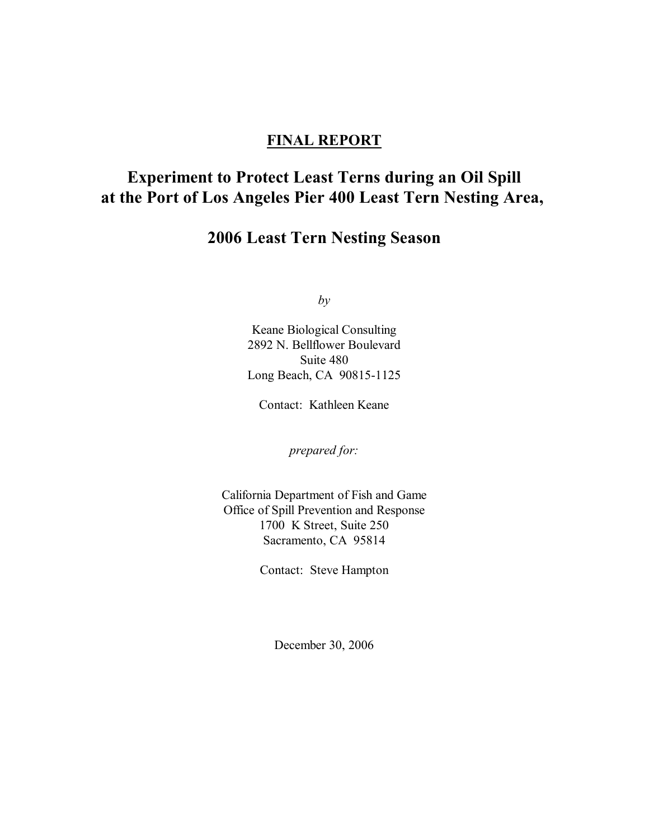### **FINAL REPORT**

# **Experiment to Protect Least Terns during an Oil Spill at the Port of Los Angeles Pier 400 Least Tern Nesting Area,**

# **2006 Least Tern Nesting Season**

*by*

Keane Biological Consulting 2892 N. Bellflower Boulevard Suite 480 Long Beach, CA 90815-1125

Contact: Kathleen Keane

*prepared for:*

California Department of Fish and Game Office of Spill Prevention and Response 1700 K Street, Suite 250 Sacramento, CA 95814

Contact: Steve Hampton

December 30, 2006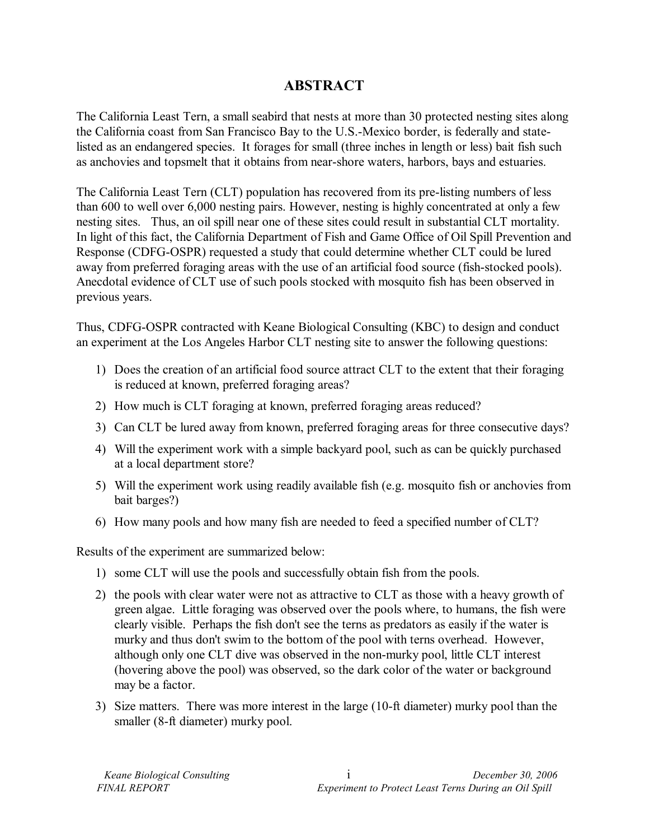## **ABSTRACT**

The California Least Tern, a small seabird that nests at more than 30 protected nesting sites along the California coast from San Francisco Bay to the U.S.-Mexico border, is federally and statelisted as an endangered species. It forages for small (three inches in length or less) bait fish such as anchovies and topsmelt that it obtains from near-shore waters, harbors, bays and estuaries.

The California Least Tern (CLT) population has recovered from its pre-listing numbers of less than 600 to well over 6,000 nesting pairs. However, nesting is highly concentrated at only a few nesting sites. Thus, an oil spill near one of these sites could result in substantial CLT mortality. In light of this fact, the California Department of Fish and Game Office of Oil Spill Prevention and Response (CDFG-OSPR) requested a study that could determine whether CLT could be lured away from preferred foraging areas with the use of an artificial food source (fish-stocked pools). Anecdotal evidence of CLT use of such pools stocked with mosquito fish has been observed in previous years.

Thus, CDFG-OSPR contracted with Keane Biological Consulting (KBC) to design and conduct an experiment at the Los Angeles Harbor CLT nesting site to answer the following questions:

- 1) Does the creation of an artificial food source attract CLT to the extent that their foraging is reduced at known, preferred foraging areas?
- 2) How much is CLT foraging at known, preferred foraging areas reduced?
- 3) Can CLT be lured away from known, preferred foraging areas for three consecutive days?
- 4) Will the experiment work with a simple backyard pool, such as can be quickly purchased at a local department store?
- 5) Will the experiment work using readily available fish (e.g. mosquito fish or anchovies from bait barges?)
- 6) How many pools and how many fish are needed to feed a specified number of CLT?

Results of the experiment are summarized below:

- 1) some CLT will use the pools and successfully obtain fish from the pools.
- 2) the pools with clear water were not as attractive to CLT as those with a heavy growth of green algae. Little foraging was observed over the pools where, to humans, the fish were clearly visible. Perhaps the fish don't see the terns as predators as easily if the water is murky and thus don't swim to the bottom of the pool with terns overhead. However, although only one CLT dive was observed in the non-murky pool, little CLT interest (hovering above the pool) was observed, so the dark color of the water or background may be a factor.
- 3) Size matters. There was more interest in the large (10-ft diameter) murky pool than the smaller (8-ft diameter) murky pool.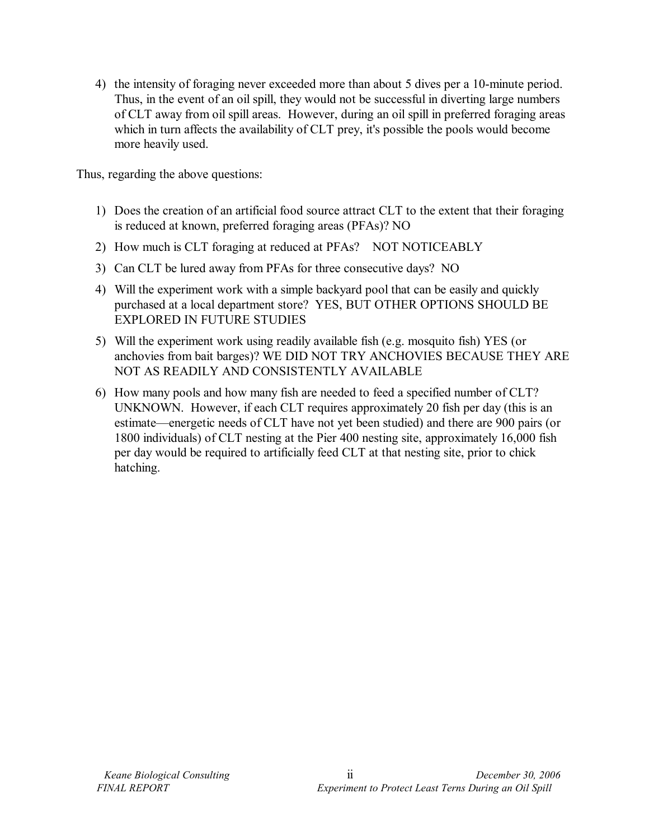4) the intensity of foraging never exceeded more than about 5 dives per a 10-minute period. Thus, in the event of an oil spill, they would not be successful in diverting large numbers of CLT away from oil spill areas. However, during an oil spill in preferred foraging areas which in turn affects the availability of CLT prey, it's possible the pools would become more heavily used.

Thus, regarding the above questions:

- 1) Does the creation of an artificial food source attract CLT to the extent that their foraging is reduced at known, preferred foraging areas (PFAs)? NO
- 2) How much is CLT foraging at reduced at PFAs? NOT NOTICEABLY
- 3) Can CLT be lured away from PFAs for three consecutive days? NO
- 4) Will the experiment work with a simple backyard pool that can be easily and quickly purchased at a local department store? YES, BUT OTHER OPTIONS SHOULD BE EXPLORED IN FUTURE STUDIES
- 5) Will the experiment work using readily available fish (e.g. mosquito fish) YES (or anchovies from bait barges)? WE DID NOT TRY ANCHOVIES BECAUSE THEY ARE NOT AS READILY AND CONSISTENTLY AVAILABLE
- 6) How many pools and how many fish are needed to feed a specified number of CLT? UNKNOWN. However, if each CLT requires approximately 20 fish per day (this is an estimate—energetic needs of CLT have not yet been studied) and there are 900 pairs (or 1800 individuals) of CLT nesting at the Pier 400 nesting site, approximately 16,000 fish per day would be required to artificially feed CLT at that nesting site, prior to chick hatching.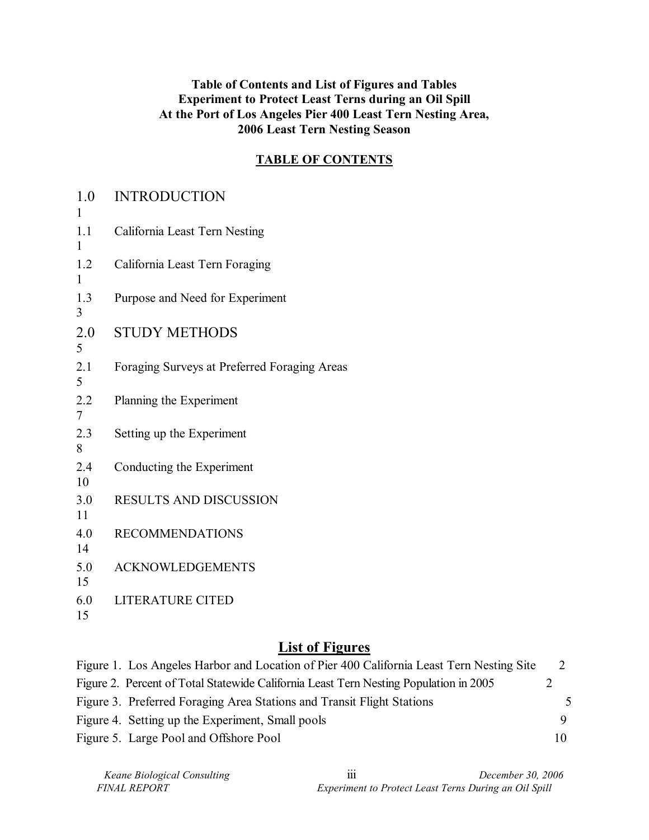#### **Table of Contents and List of Figures and Tables Experiment to Protect Least Terns during an Oil Spill At the Port of Los Angeles Pier 400 Least Tern Nesting Area, 2006 Least Tern Nesting Season**

### **TABLE OF CONTENTS**

| 1.0<br>1  | <b>INTRODUCTION</b>                          |
|-----------|----------------------------------------------|
| 1.1<br>1  | California Least Tern Nesting                |
| 1.2<br>1  | California Least Tern Foraging               |
| 1.3<br>3  | Purpose and Need for Experiment              |
| 2.0<br>5  | <b>STUDY METHODS</b>                         |
| 2.1<br>5  | Foraging Surveys at Preferred Foraging Areas |
| 2.2<br>7  | Planning the Experiment                      |
| 2.3<br>8  | Setting up the Experiment                    |
| 2.4<br>10 | Conducting the Experiment                    |
| 3.0<br>11 | <b>RESULTS AND DISCUSSION</b>                |
| 4.0<br>14 | <b>RECOMMENDATIONS</b>                       |
| 5.0<br>15 | <b>ACKNOWLEDGEMENTS</b>                      |
| 6.0<br>15 | <b>LITERATURE CITED</b>                      |

# **List of Figures**

| Figure 1. Los Angeles Harbor and Location of Pier 400 California Least Tern Nesting Site |    |    |
|------------------------------------------------------------------------------------------|----|----|
| Figure 2. Percent of Total Statewide California Least Tern Nesting Population in 2005    |    |    |
| Figure 3. Preferred Foraging Area Stations and Transit Flight Stations                   |    | 5. |
| Figure 4. Setting up the Experiment, Small pools                                         |    |    |
| Figure 5. Large Pool and Offshore Pool                                                   | 10 |    |

| Keane Biological Consulting |
|-----------------------------|
| <i>FINAL REPORT</i>         |

 *Keane Biological Consulting* iii *December 30, 2006 Experiment to Protect Least Terns During an Oil Spill*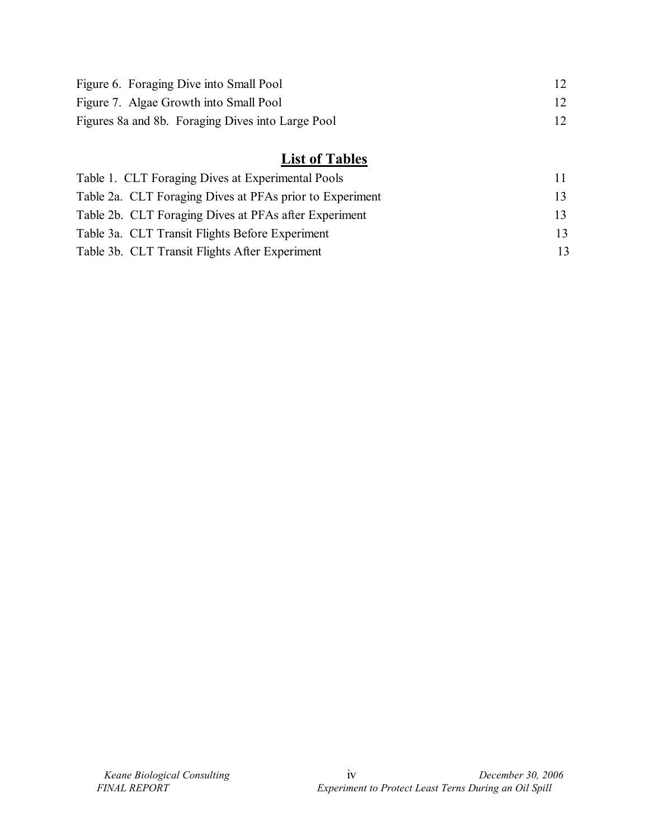| Figure 6. Foraging Dive into Small Pool           |    |
|---------------------------------------------------|----|
| Figure 7. Algae Growth into Small Pool            | 12 |
| Figures 8a and 8b. Foraging Dives into Large Pool |    |

# **List of Tables**

| Table 1. CLT Foraging Dives at Experimental Pools        |    |
|----------------------------------------------------------|----|
| Table 2a. CLT Foraging Dives at PFAs prior to Experiment |    |
| Table 2b. CLT Foraging Dives at PFAs after Experiment    |    |
| Table 3a. CLT Transit Flights Before Experiment          |    |
| Table 3b. CLT Transit Flights After Experiment           | 13 |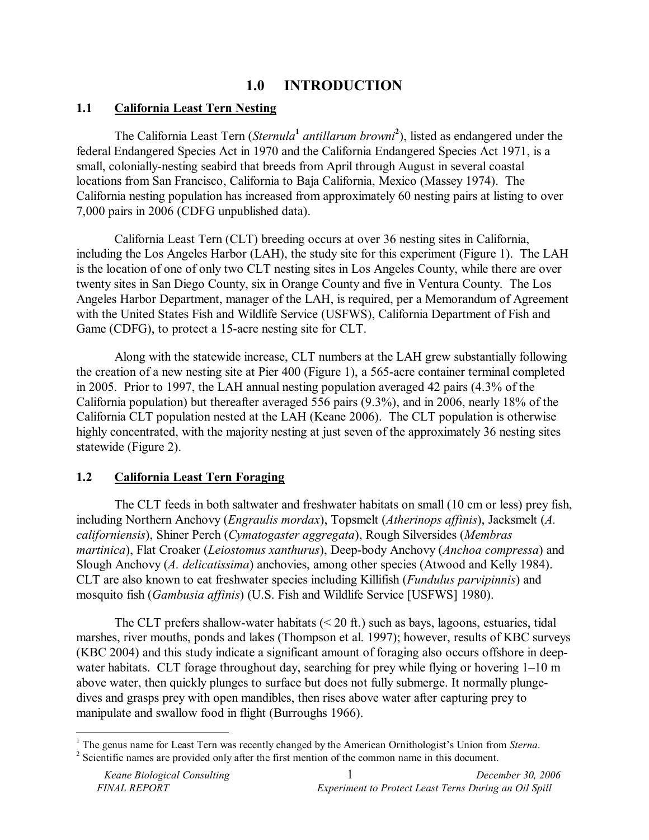# **1.0 INTRODUCTION**

#### **1.1 California Least Tern Nesting**

The California Least Tern (*Sternula<sup>1</sup>* antillarum browni<sup>2</sup>), listed as endangered under the federal Endangered Species Act in 1970 and the California Endangered Species Act 1971, is a small, colonially-nesting seabird that breeds from April through August in several coastal locations from San Francisco, California to Baja California, Mexico (Massey 1974). The California nesting population has increased from approximately 60 nesting pairs at listing to over 7,000 pairs in 2006 (CDFG unpublished data).

California Least Tern (CLT) breeding occurs at over 36 nesting sites in California, including the Los Angeles Harbor (LAH), the study site for this experiment (Figure 1). The LAH is the location of one of only two CLT nesting sites in Los Angeles County, while there are over twenty sites in San Diego County, six in Orange County and five in Ventura County. The Los Angeles Harbor Department, manager of the LAH, is required, per a Memorandum of Agreement with the United States Fish and Wildlife Service (USFWS), California Department of Fish and Game (CDFG), to protect a 15-acre nesting site for CLT.

Along with the statewide increase, CLT numbers at the LAH grew substantially following the creation of a new nesting site at Pier 400 (Figure 1), a 565-acre container terminal completed in 2005. Prior to 1997, the LAH annual nesting population averaged 42 pairs (4.3% of the California population) but thereafter averaged 556 pairs (9.3%), and in 2006, nearly 18% of the California CLT population nested at the LAH (Keane 2006). The CLT population is otherwise highly concentrated, with the majority nesting at just seven of the approximately 36 nesting sites statewide (Figure 2).

#### **1.2 California Least Tern Foraging**

The CLT feeds in both saltwater and freshwater habitats on small (10 cm or less) prey fish, including Northern Anchovy (*Engraulis mordax*), Topsmelt (*Atherinops affinis*), Jacksmelt (*A. californiensis*), Shiner Perch (*Cymatogaster aggregata*), Rough Silversides (*Membras martinica*), Flat Croaker (*Leiostomus xanthurus*), Deep-body Anchovy (*Anchoa compressa*) and Slough Anchovy (*A. delicatissima*) anchovies, among other species (Atwood and Kelly 1984). CLT are also known to eat freshwater species including Killifish (*Fundulus parvipinnis*) and mosquito fish (*Gambusia affinis*) (U.S. Fish and Wildlife Service [USFWS] 1980).

The CLT prefers shallow-water habitats  $(< 20 \text{ ft.})$  such as bays, lagoons, estuaries, tidal marshes, river mouths, ponds and lakes (Thompson et al. 1997); however, results of KBC surveys (KBC 2004) and this study indicate a significant amount of foraging also occurs offshore in deepwater habitats. CLT forage throughout day, searching for prey while flying or hovering  $1-10$  m above water, then quickly plunges to surface but does not fully submerge. It normally plungedives and grasps prey with open mandibles, then rises above water after capturing prey to manipulate and swallow food in flight (Burroughs 1966).

<sup>&</sup>lt;sup>1</sup> The genus name for Least Tern was recently changed by the American Ornithologist's Union from *Sterna*.

 $2$  Scientific names are provided only after the first mention of the common name in this document.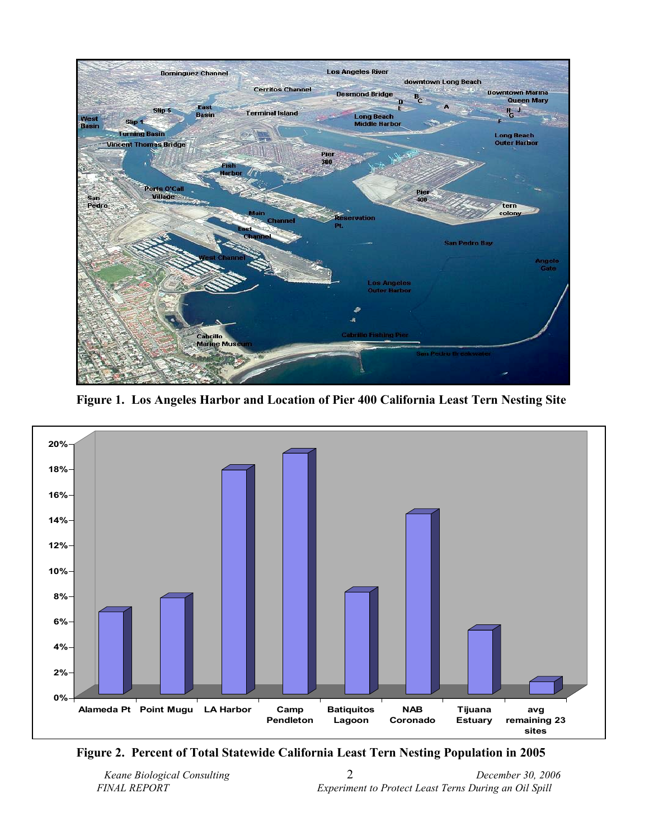

**Figure 1. Los Angeles Harbor and Location of Pier 400 California Least Tern Nesting Site** 



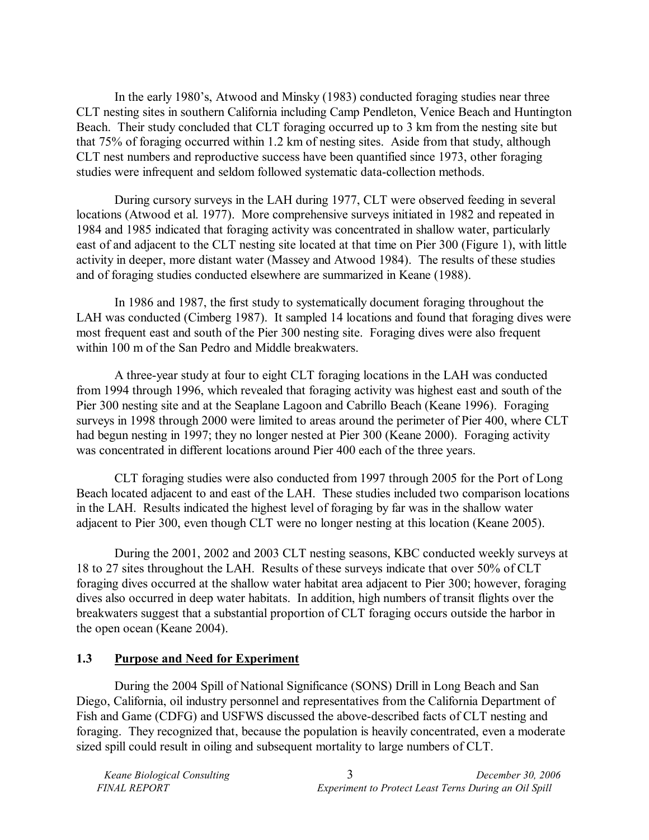In the early 1980's, Atwood and Minsky (1983) conducted foraging studies near three CLT nesting sites in southern California including Camp Pendleton, Venice Beach and Huntington Beach. Their study concluded that CLT foraging occurred up to 3 km from the nesting site but that 75% of foraging occurred within 1.2 km of nesting sites. Aside from that study, although CLT nest numbers and reproductive success have been quantified since 1973, other foraging studies were infrequent and seldom followed systematic data-collection methods.

During cursory surveys in the LAH during 1977, CLT were observed feeding in several locations (Atwood et al. 1977). More comprehensive surveys initiated in 1982 and repeated in 1984 and 1985 indicated that foraging activity was concentrated in shallow water, particularly east of and adjacent to the CLT nesting site located at that time on Pier 300 (Figure 1), with little activity in deeper, more distant water (Massey and Atwood 1984). The results of these studies and of foraging studies conducted elsewhere are summarized in Keane (1988).

In 1986 and 1987, the first study to systematically document foraging throughout the LAH was conducted (Cimberg 1987). It sampled 14 locations and found that foraging dives were most frequent east and south of the Pier 300 nesting site. Foraging dives were also frequent within 100 m of the San Pedro and Middle breakwaters.

A three-year study at four to eight CLT foraging locations in the LAH was conducted from 1994 through 1996, which revealed that foraging activity was highest east and south of the Pier 300 nesting site and at the Seaplane Lagoon and Cabrillo Beach (Keane 1996). Foraging surveys in 1998 through 2000 were limited to areas around the perimeter of Pier 400, where CLT had begun nesting in 1997; they no longer nested at Pier 300 (Keane 2000). Foraging activity was concentrated in different locations around Pier 400 each of the three years.

CLT foraging studies were also conducted from 1997 through 2005 for the Port of Long Beach located adjacent to and east of the LAH. These studies included two comparison locations in the LAH. Results indicated the highest level of foraging by far was in the shallow water adjacent to Pier 300, even though CLT were no longer nesting at this location (Keane 2005).

During the 2001, 2002 and 2003 CLT nesting seasons, KBC conducted weekly surveys at 18 to 27 sites throughout the LAH. Results of these surveys indicate that over 50% of CLT foraging dives occurred at the shallow water habitat area adjacent to Pier 300; however, foraging dives also occurred in deep water habitats. In addition, high numbers of transit flights over the breakwaters suggest that a substantial proportion of CLT foraging occurs outside the harbor in the open ocean (Keane 2004).

#### **1.3 Purpose and Need for Experiment**

During the 2004 Spill of National Significance (SONS) Drill in Long Beach and San Diego, California, oil industry personnel and representatives from the California Department of Fish and Game (CDFG) and USFWS discussed the above-described facts of CLT nesting and foraging. They recognized that, because the population is heavily concentrated, even a moderate sized spill could result in oiling and subsequent mortality to large numbers of CLT.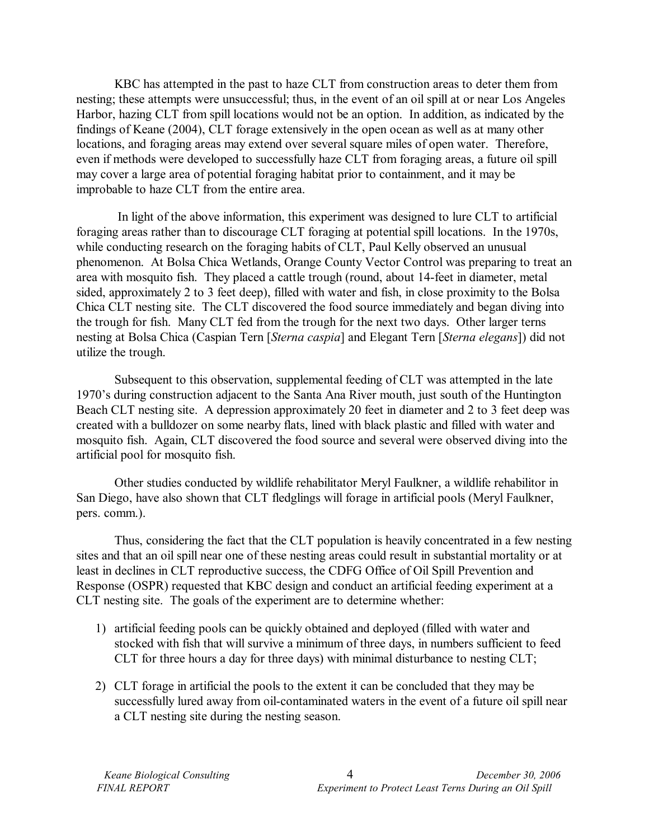KBC has attempted in the past to haze CLT from construction areas to deter them from nesting; these attempts were unsuccessful; thus, in the event of an oil spill at or near Los Angeles Harbor, hazing CLT from spill locations would not be an option. In addition, as indicated by the findings of Keane (2004), CLT forage extensively in the open ocean as well as at many other locations, and foraging areas may extend over several square miles of open water. Therefore, even if methods were developed to successfully haze CLT from foraging areas, a future oil spill may cover a large area of potential foraging habitat prior to containment, and it may be improbable to haze CLT from the entire area.

 In light of the above information, this experiment was designed to lure CLT to artificial foraging areas rather than to discourage CLT foraging at potential spill locations. In the 1970s, while conducting research on the foraging habits of CLT, Paul Kelly observed an unusual phenomenon. At Bolsa Chica Wetlands, Orange County Vector Control was preparing to treat an area with mosquito fish. They placed a cattle trough (round, about 14-feet in diameter, metal sided, approximately 2 to 3 feet deep), filled with water and fish, in close proximity to the Bolsa Chica CLT nesting site. The CLT discovered the food source immediately and began diving into the trough for fish. Many CLT fed from the trough for the next two days. Other larger terns nesting at Bolsa Chica (Caspian Tern [*Sterna caspia*] and Elegant Tern [*Sterna elegans*]) did not utilize the trough.

Subsequent to this observation, supplemental feeding of CLT was attempted in the late 1970ís during construction adjacent to the Santa Ana River mouth, just south of the Huntington Beach CLT nesting site. A depression approximately 20 feet in diameter and 2 to 3 feet deep was created with a bulldozer on some nearby flats, lined with black plastic and filled with water and mosquito fish. Again, CLT discovered the food source and several were observed diving into the artificial pool for mosquito fish.

Other studies conducted by wildlife rehabilitator Meryl Faulkner, a wildlife rehabilitor in San Diego, have also shown that CLT fledglings will forage in artificial pools (Meryl Faulkner, pers. comm.).

Thus, considering the fact that the CLT population is heavily concentrated in a few nesting sites and that an oil spill near one of these nesting areas could result in substantial mortality or at least in declines in CLT reproductive success, the CDFG Office of Oil Spill Prevention and Response (OSPR) requested that KBC design and conduct an artificial feeding experiment at a CLT nesting site. The goals of the experiment are to determine whether:

- 1) artificial feeding pools can be quickly obtained and deployed (filled with water and stocked with fish that will survive a minimum of three days, in numbers sufficient to feed CLT for three hours a day for three days) with minimal disturbance to nesting CLT;
- 2) CLT forage in artificial the pools to the extent it can be concluded that they may be successfully lured away from oil-contaminated waters in the event of a future oil spill near a CLT nesting site during the nesting season.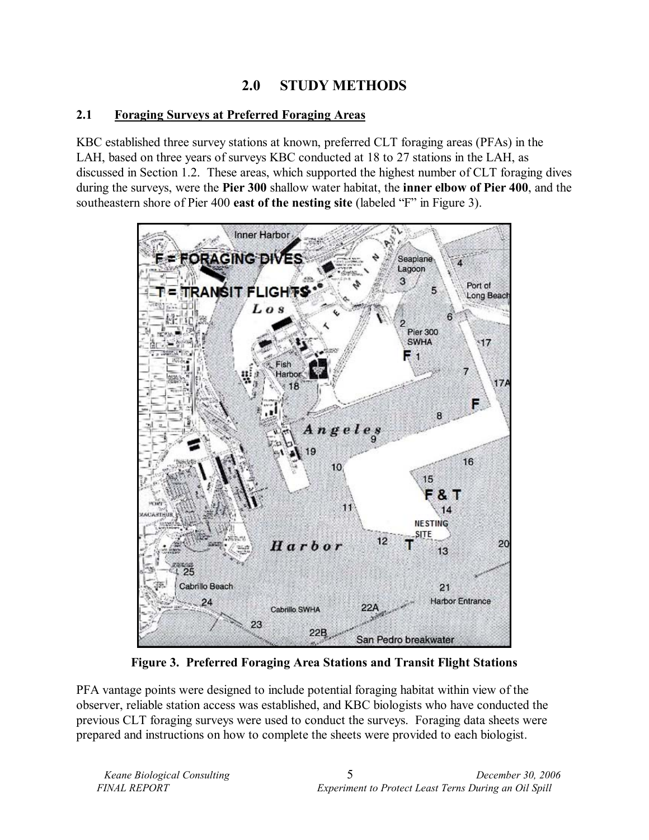# **2.0 STUDY METHODS**

### **2.1 Foraging Surveys at Preferred Foraging Areas**

KBC established three survey stations at known, preferred CLT foraging areas (PFAs) in the LAH, based on three years of surveys KBC conducted at 18 to 27 stations in the LAH, as discussed in Section 1.2. These areas, which supported the highest number of CLT foraging dives during the surveys, were the **Pier 300** shallow water habitat, the **inner elbow of Pier 400**, and the southeastern shore of Pier 400 **east of the nesting site** (labeled "F" in Figure 3).



**Figure 3. Preferred Foraging Area Stations and Transit Flight Stations** 

PFA vantage points were designed to include potential foraging habitat within view of the observer, reliable station access was established, and KBC biologists who have conducted the previous CLT foraging surveys were used to conduct the surveys. Foraging data sheets were prepared and instructions on how to complete the sheets were provided to each biologist.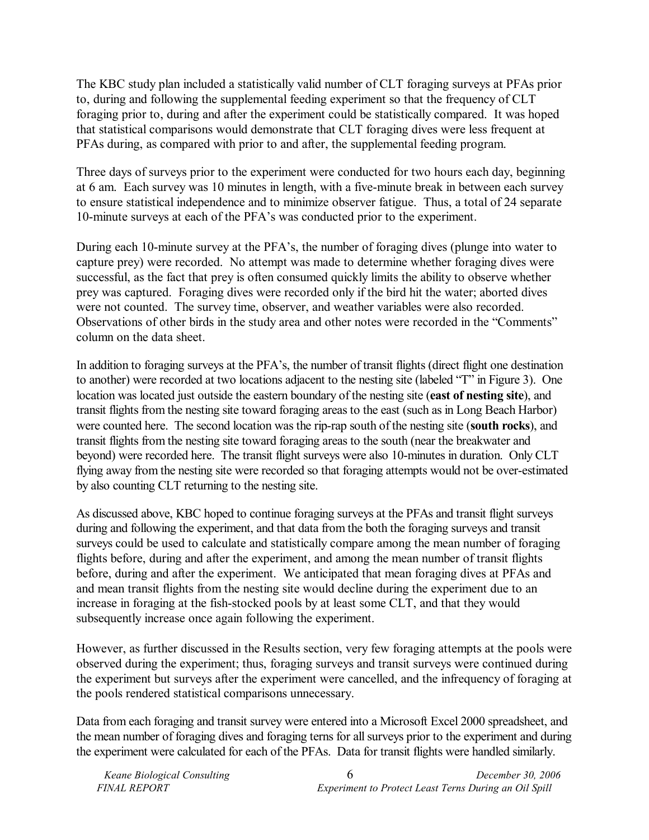The KBC study plan included a statistically valid number of CLT foraging surveys at PFAs prior to, during and following the supplemental feeding experiment so that the frequency of CLT foraging prior to, during and after the experiment could be statistically compared. It was hoped that statistical comparisons would demonstrate that CLT foraging dives were less frequent at PFAs during, as compared with prior to and after, the supplemental feeding program.

Three days of surveys prior to the experiment were conducted for two hours each day, beginning at 6 am. Each survey was 10 minutes in length, with a five-minute break in between each survey to ensure statistical independence and to minimize observer fatigue. Thus, a total of 24 separate 10-minute surveys at each of the PFAís was conducted prior to the experiment.

During each 10-minute survey at the PFA's, the number of foraging dives (plunge into water to capture prey) were recorded. No attempt was made to determine whether foraging dives were successful, as the fact that prey is often consumed quickly limits the ability to observe whether prey was captured. Foraging dives were recorded only if the bird hit the water; aborted dives were not counted. The survey time, observer, and weather variables were also recorded. Observations of other birds in the study area and other notes were recorded in the "Comments" column on the data sheet.

In addition to foraging surveys at the PFA's, the number of transit flights (direct flight one destination to another) were recorded at two locations adjacent to the nesting site (labeled "T" in Figure 3). One location was located just outside the eastern boundary of the nesting site (**east of nesting site**), and transit flights from the nesting site toward foraging areas to the east (such as in Long Beach Harbor) were counted here. The second location was the rip-rap south of the nesting site (**south rocks**), and transit flights from the nesting site toward foraging areas to the south (near the breakwater and beyond) were recorded here. The transit flight surveys were also 10-minutes in duration. Only CLT flying away from the nesting site were recorded so that foraging attempts would not be over-estimated by also counting CLT returning to the nesting site.

As discussed above, KBC hoped to continue foraging surveys at the PFAs and transit flight surveys during and following the experiment, and that data from the both the foraging surveys and transit surveys could be used to calculate and statistically compare among the mean number of foraging flights before, during and after the experiment, and among the mean number of transit flights before, during and after the experiment. We anticipated that mean foraging dives at PFAs and and mean transit flights from the nesting site would decline during the experiment due to an increase in foraging at the fish-stocked pools by at least some CLT, and that they would subsequently increase once again following the experiment.

However, as further discussed in the Results section, very few foraging attempts at the pools were observed during the experiment; thus, foraging surveys and transit surveys were continued during the experiment but surveys after the experiment were cancelled, and the infrequency of foraging at the pools rendered statistical comparisons unnecessary.

Data from each foraging and transit survey were entered into a Microsoft Excel 2000 spreadsheet, and the mean number of foraging dives and foraging terns for all surveys prior to the experiment and during the experiment were calculated for each of the PFAs. Data for transit flights were handled similarly.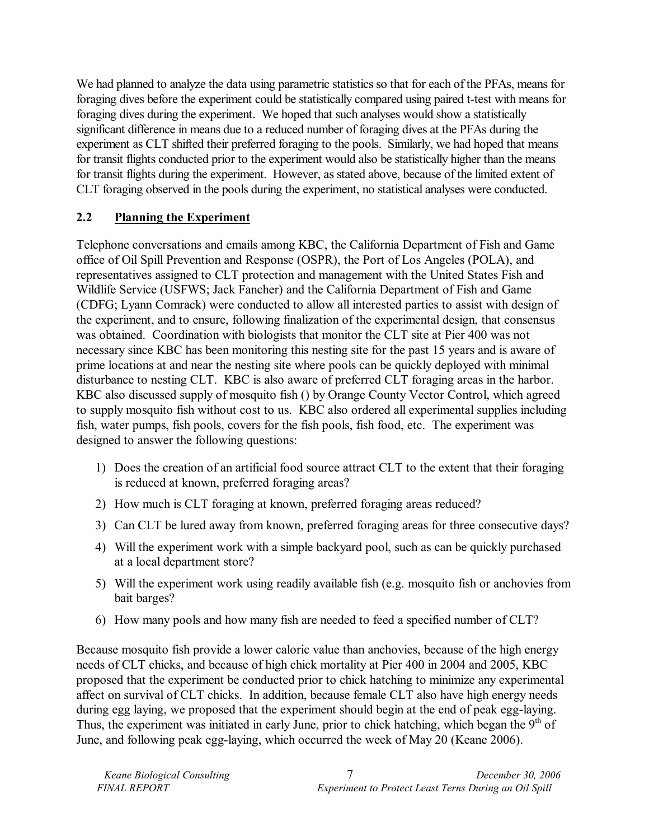We had planned to analyze the data using parametric statistics so that for each of the PFAs, means for foraging dives before the experiment could be statistically compared using paired t-test with means for foraging dives during the experiment. We hoped that such analyses would show a statistically significant difference in means due to a reduced number of foraging dives at the PFAs during the experiment as CLT shifted their preferred foraging to the pools. Similarly, we had hoped that means for transit flights conducted prior to the experiment would also be statistically higher than the means for transit flights during the experiment. However, as stated above, because of the limited extent of CLT foraging observed in the pools during the experiment, no statistical analyses were conducted.

### **2.2 Planning the Experiment**

Telephone conversations and emails among KBC, the California Department of Fish and Game office of Oil Spill Prevention and Response (OSPR), the Port of Los Angeles (POLA), and representatives assigned to CLT protection and management with the United States Fish and Wildlife Service (USFWS; Jack Fancher) and the California Department of Fish and Game (CDFG; Lyann Comrack) were conducted to allow all interested parties to assist with design of the experiment, and to ensure, following finalization of the experimental design, that consensus was obtained. Coordination with biologists that monitor the CLT site at Pier 400 was not necessary since KBC has been monitoring this nesting site for the past 15 years and is aware of prime locations at and near the nesting site where pools can be quickly deployed with minimal disturbance to nesting CLT. KBC is also aware of preferred CLT foraging areas in the harbor. KBC also discussed supply of mosquito fish () by Orange County Vector Control, which agreed to supply mosquito fish without cost to us. KBC also ordered all experimental supplies including fish, water pumps, fish pools, covers for the fish pools, fish food, etc. The experiment was designed to answer the following questions:

- 1) Does the creation of an artificial food source attract CLT to the extent that their foraging is reduced at known, preferred foraging areas?
- 2) How much is CLT foraging at known, preferred foraging areas reduced?
- 3) Can CLT be lured away from known, preferred foraging areas for three consecutive days?
- 4) Will the experiment work with a simple backyard pool, such as can be quickly purchased at a local department store?
- 5) Will the experiment work using readily available fish (e.g. mosquito fish or anchovies from bait barges?
- 6) How many pools and how many fish are needed to feed a specified number of CLT?

Because mosquito fish provide a lower caloric value than anchovies, because of the high energy needs of CLT chicks, and because of high chick mortality at Pier 400 in 2004 and 2005, KBC proposed that the experiment be conducted prior to chick hatching to minimize any experimental affect on survival of CLT chicks. In addition, because female CLT also have high energy needs during egg laying, we proposed that the experiment should begin at the end of peak egg-laying. Thus, the experiment was initiated in early June, prior to chick hatching, which began the  $9<sup>th</sup>$  of June, and following peak egg-laying, which occurred the week of May 20 (Keane 2006).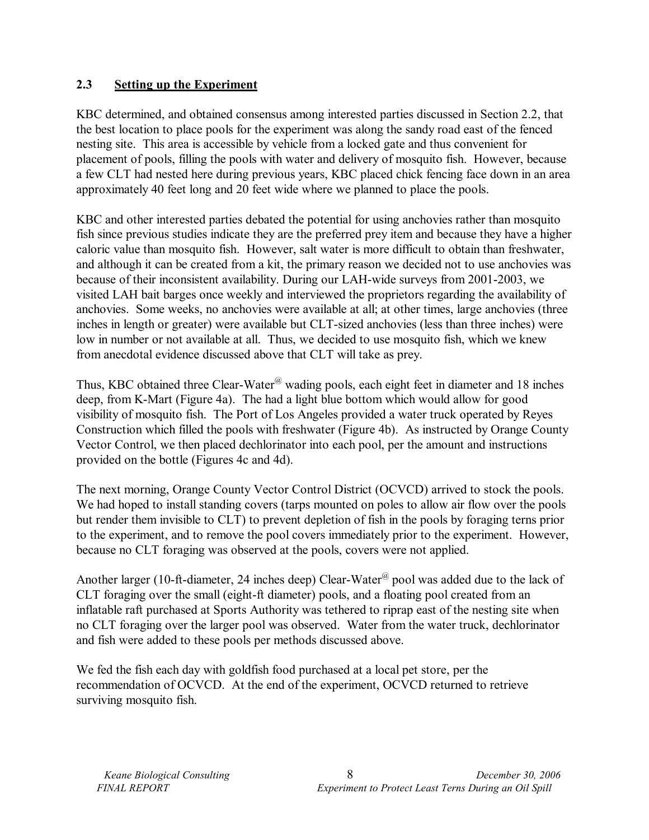#### **2.3 Setting up the Experiment**

KBC determined, and obtained consensus among interested parties discussed in Section 2.2, that the best location to place pools for the experiment was along the sandy road east of the fenced nesting site. This area is accessible by vehicle from a locked gate and thus convenient for placement of pools, filling the pools with water and delivery of mosquito fish. However, because a few CLT had nested here during previous years, KBC placed chick fencing face down in an area approximately 40 feet long and 20 feet wide where we planned to place the pools.

KBC and other interested parties debated the potential for using anchovies rather than mosquito fish since previous studies indicate they are the preferred prey item and because they have a higher caloric value than mosquito fish. However, salt water is more difficult to obtain than freshwater, and although it can be created from a kit, the primary reason we decided not to use anchovies was because of their inconsistent availability. During our LAH-wide surveys from 2001-2003, we visited LAH bait barges once weekly and interviewed the proprietors regarding the availability of anchovies. Some weeks, no anchovies were available at all; at other times, large anchovies (three inches in length or greater) were available but CLT-sized anchovies (less than three inches) were low in number or not available at all. Thus, we decided to use mosquito fish, which we knew from anecdotal evidence discussed above that CLT will take as prey.

Thus, KBC obtained three Clear-Water<sup>@</sup> wading pools, each eight feet in diameter and 18 inches deep, from K-Mart (Figure 4a). The had a light blue bottom which would allow for good visibility of mosquito fish. The Port of Los Angeles provided a water truck operated by Reyes Construction which filled the pools with freshwater (Figure 4b). As instructed by Orange County Vector Control, we then placed dechlorinator into each pool, per the amount and instructions provided on the bottle (Figures 4c and 4d).

The next morning, Orange County Vector Control District (OCVCD) arrived to stock the pools. We had hoped to install standing covers (tarps mounted on poles to allow air flow over the pools but render them invisible to CLT) to prevent depletion of fish in the pools by foraging terns prior to the experiment, and to remove the pool covers immediately prior to the experiment. However, because no CLT foraging was observed at the pools, covers were not applied.

Another larger (10-ft-diameter, 24 inches deep) Clear-Water<sup>@</sup> pool was added due to the lack of CLT foraging over the small (eight-ft diameter) pools, and a floating pool created from an inflatable raft purchased at Sports Authority was tethered to riprap east of the nesting site when no CLT foraging over the larger pool was observed. Water from the water truck, dechlorinator and fish were added to these pools per methods discussed above.

We fed the fish each day with goldfish food purchased at a local pet store, per the recommendation of OCVCD. At the end of the experiment, OCVCD returned to retrieve surviving mosquito fish.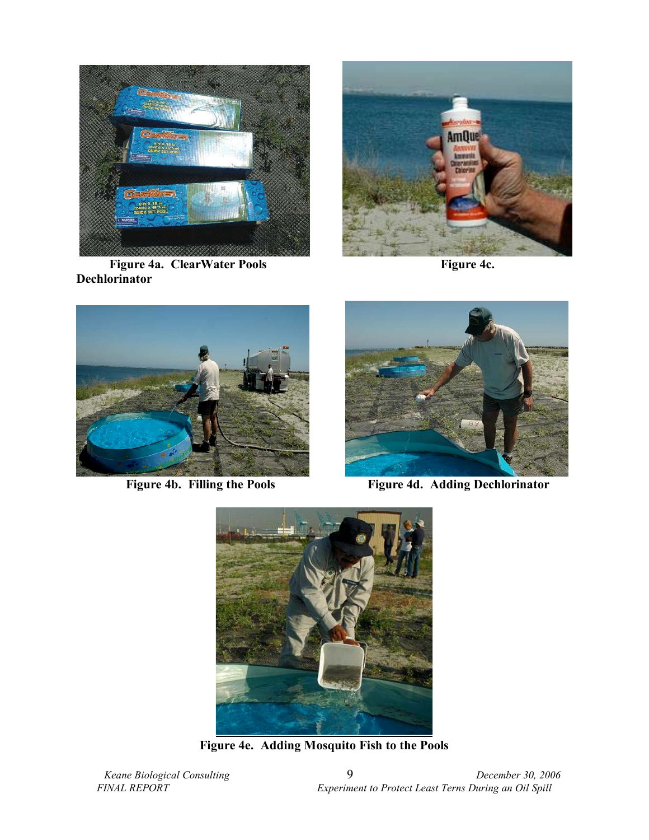

**Figure 4a. ClearWater Pools** Figure 4c. **Dechlorinator** 







**Figure 4b. Filling the Pools** Figure 4d. Adding Dechlorinator



**Figure 4e. Adding Mosquito Fish to the Pools**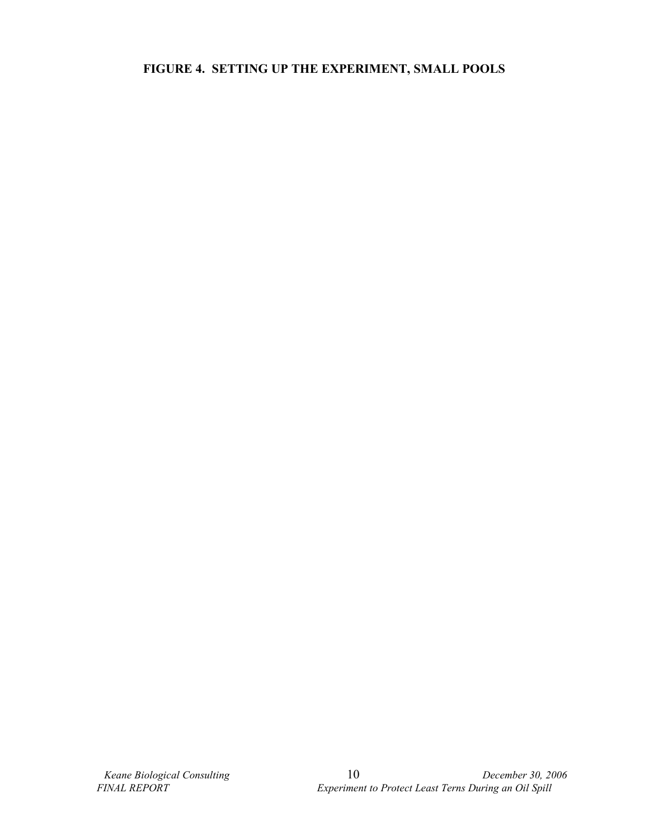### **FIGURE 4. SETTING UP THE EXPERIMENT, SMALL POOLS**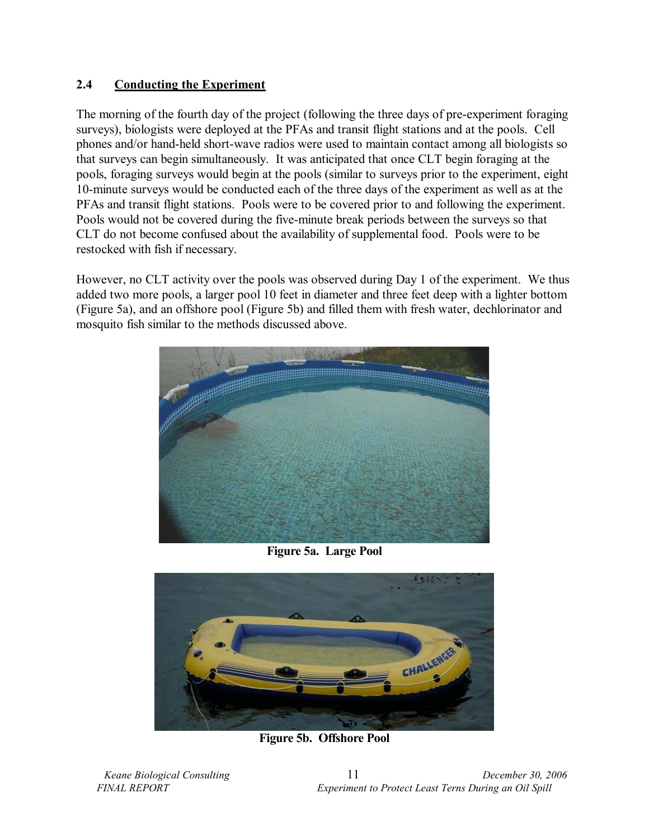### **2.4 Conducting the Experiment**

The morning of the fourth day of the project (following the three days of pre-experiment foraging surveys), biologists were deployed at the PFAs and transit flight stations and at the pools. Cell phones and/or hand-held short-wave radios were used to maintain contact among all biologists so that surveys can begin simultaneously. It was anticipated that once CLT begin foraging at the pools, foraging surveys would begin at the pools (similar to surveys prior to the experiment, eight 10-minute surveys would be conducted each of the three days of the experiment as well as at the PFAs and transit flight stations. Pools were to be covered prior to and following the experiment. Pools would not be covered during the five-minute break periods between the surveys so that CLT do not become confused about the availability of supplemental food. Pools were to be restocked with fish if necessary.

However, no CLT activity over the pools was observed during Day 1 of the experiment. We thus added two more pools, a larger pool 10 feet in diameter and three feet deep with a lighter bottom (Figure 5a), and an offshore pool (Figure 5b) and filled them with fresh water, dechlorinator and mosquito fish similar to the methods discussed above.



**Figure 5a. Large Pool** 



**Figure 5b. Offshore Pool**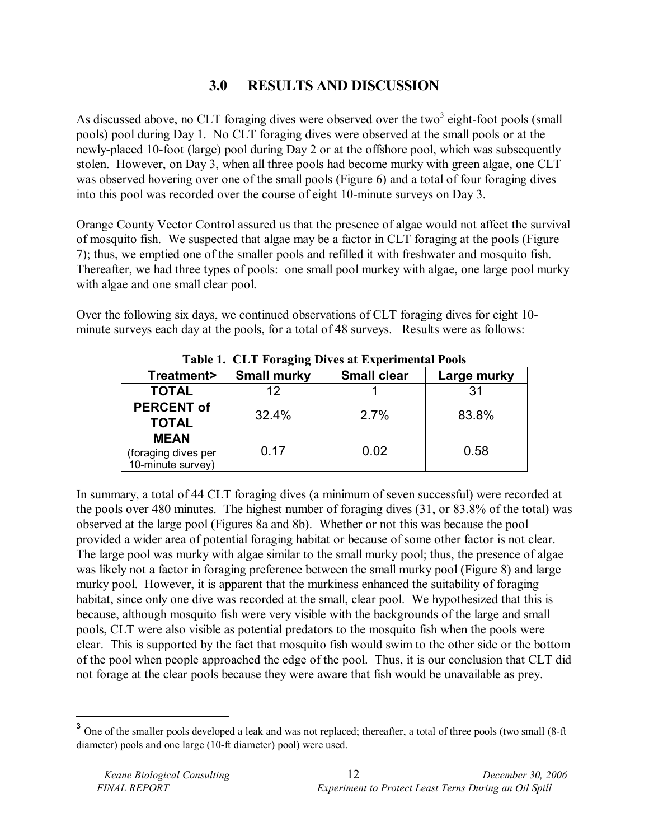# **3.0 RESULTS AND DISCUSSION**

As discussed above, no CLT foraging dives were observed over the two<sup>3</sup> eight-foot pools (small pools) pool during Day 1. No CLT foraging dives were observed at the small pools or at the newly-placed 10-foot (large) pool during Day 2 or at the offshore pool, which was subsequently stolen. However, on Day 3, when all three pools had become murky with green algae, one CLT was observed hovering over one of the small pools (Figure 6) and a total of four foraging dives into this pool was recorded over the course of eight 10-minute surveys on Day 3.

Orange County Vector Control assured us that the presence of algae would not affect the survival of mosquito fish. We suspected that algae may be a factor in CLT foraging at the pools (Figure 7); thus, we emptied one of the smaller pools and refilled it with freshwater and mosquito fish. Thereafter, we had three types of pools: one small pool murkey with algae, one large pool murky with algae and one small clear pool.

Over the following six days, we continued observations of CLT foraging dives for eight 10 minute surveys each day at the pools, for a total of 48 surveys. Results were as follows:

| Table 1. CET FUIREINE DIVES ACEADEMICHIAI I 0013        |                    |                    |             |
|---------------------------------------------------------|--------------------|--------------------|-------------|
| Treatment>                                              | <b>Small murky</b> | <b>Small clear</b> | Large murky |
| <b>TOTAL</b>                                            | 12                 |                    | 31          |
| <b>PERCENT of</b><br><b>TOTAL</b>                       | 32.4%              | 2.7%               | 83.8%       |
| <b>MEAN</b><br>(foraging dives per<br>10-minute survey) | 0.17               | 0.02               | 0.58        |

**Table 1. CLT Foraging Dives at Experimental Pools** 

In summary, a total of 44 CLT foraging dives (a minimum of seven successful) were recorded at the pools over 480 minutes. The highest number of foraging dives (31, or 83.8% of the total) was observed at the large pool (Figures 8a and 8b). Whether or not this was because the pool provided a wider area of potential foraging habitat or because of some other factor is not clear. The large pool was murky with algae similar to the small murky pool; thus, the presence of algae was likely not a factor in foraging preference between the small murky pool (Figure 8) and large murky pool. However, it is apparent that the murkiness enhanced the suitability of foraging habitat, since only one dive was recorded at the small, clear pool. We hypothesized that this is because, although mosquito fish were very visible with the backgrounds of the large and small pools, CLT were also visible as potential predators to the mosquito fish when the pools were clear. This is supported by the fact that mosquito fish would swim to the other side or the bottom of the pool when people approached the edge of the pool. Thus, it is our conclusion that CLT did not forage at the clear pools because they were aware that fish would be unavailable as prey.

 $\overline{a}$ 

<sup>&</sup>lt;sup>3</sup> One of the smaller pools developed a leak and was not replaced; thereafter, a total of three pools (two small (8-ft) diameter) pools and one large (10-ft diameter) pool) were used.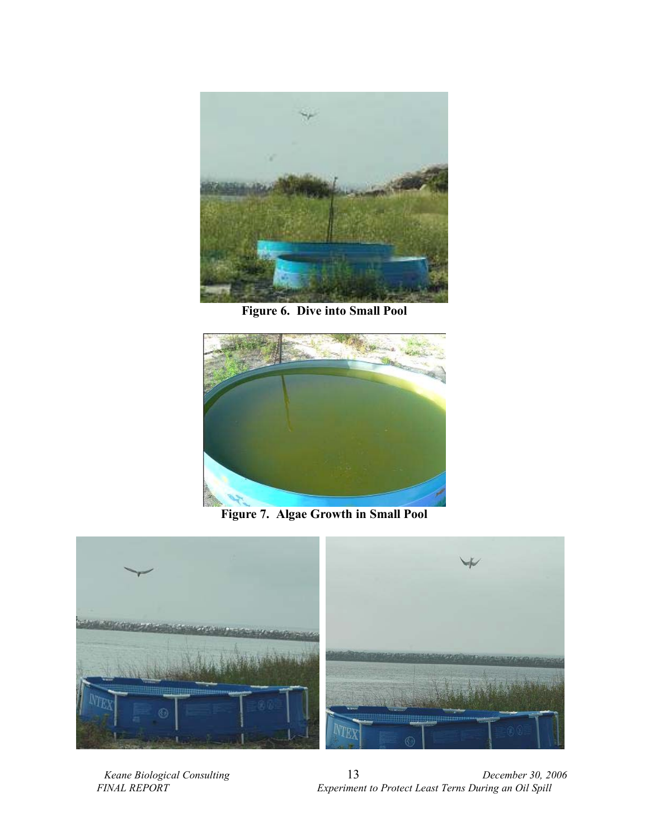

**Figure 6. Dive into Small Pool** 



**Figure 7. Algae Growth in Small Pool** 



 *Keane Biological Consulting* 13 *December 30, 2006 Experiment to Protect Least Terns During an Oil Spill*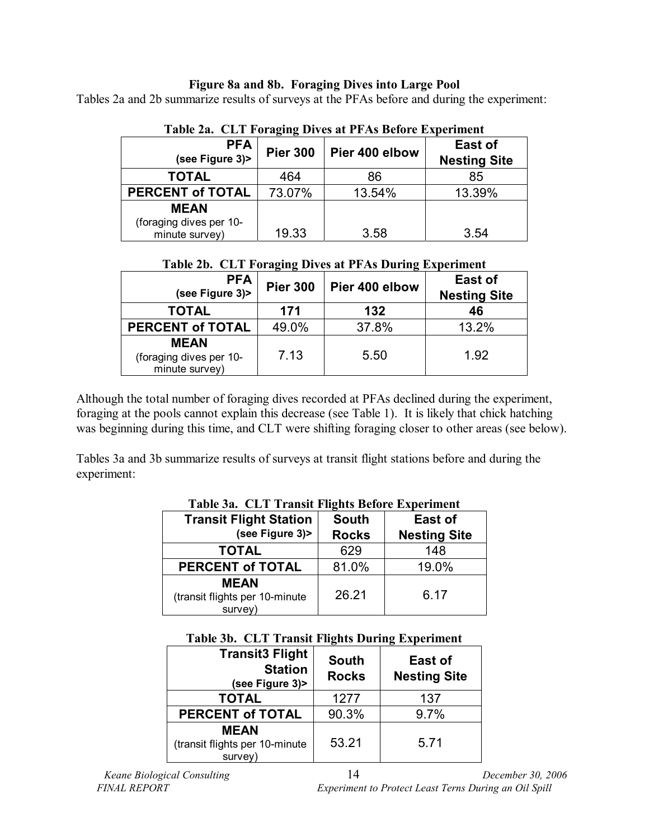#### **Figure 8a and 8b. Foraging Dives into Large Pool**

Tables 2a and 2b summarize results of surveys at the PFAs before and during the experiment:

| Table 2a. CETT utaging Dives at ITAS Delote Experiment |                 |                |                                |  |
|--------------------------------------------------------|-----------------|----------------|--------------------------------|--|
| <b>PFA</b><br>(see Figure 3)>                          | <b>Pier 300</b> | Pier 400 elbow | East of<br><b>Nesting Site</b> |  |
| <b>TOTAL</b>                                           | 464             | 86             | 85                             |  |
| <b>PERCENT of TOTAL</b>                                | 73.07%          | 13.54%         | 13.39%                         |  |
| <b>MEAN</b>                                            |                 |                |                                |  |
| (foraging dives per 10-<br>minute survey)              | 19.33           | 3.58           | 3.54                           |  |

**Table 2a. CLT Foraging Dives at PFAs Before Experiment** 

**Table 2b. CLT Foraging Dives at PFAs During Experiment** 

| <b>PFA</b><br>(see Figure 3)>                            | <b>Pier 300</b> | Pier 400 elbow | East of<br><b>Nesting Site</b> |
|----------------------------------------------------------|-----------------|----------------|--------------------------------|
| <b>TOTAL</b>                                             | 171             | 132            | 46                             |
| <b>PERCENT of TOTAL</b>                                  | 49.0%           | 37.8%          | 13.2%                          |
| <b>MEAN</b><br>(foraging dives per 10-<br>minute survey) | 7.13            | 5.50           | 1.92                           |

Although the total number of foraging dives recorded at PFAs declined during the experiment, foraging at the pools cannot explain this decrease (see Table 1). It is likely that chick hatching was beginning during this time, and CLT were shifting foraging closer to other areas (see below).

Tables 3a and 3b summarize results of surveys at transit flight stations before and during the experiment:

| Tuble our CET Trumble I hence Delote Experiment   |                              |                                |  |
|---------------------------------------------------|------------------------------|--------------------------------|--|
| <b>Transit Flight Station</b><br>(see Figure 3)>  | <b>South</b><br><b>Rocks</b> | East of<br><b>Nesting Site</b> |  |
| <b>TOTAL</b>                                      | 629                          | 148                            |  |
| <b>PERCENT of TOTAL</b>                           | 81.0%                        | 19.0%                          |  |
| MEAN<br>(transit flights per 10-minute<br>survey) | 26.21                        | 6.17                           |  |

**Table 3a. CLT Transit Flights Before Experiment** 

|  |  |  |  | Table 3b. CLT Transit Flights During Experiment |
|--|--|--|--|-------------------------------------------------|
|--|--|--|--|-------------------------------------------------|

| <b>Transit3 Flight</b><br><b>Station</b><br>(see Figure 3)> | <b>South</b><br><b>Rocks</b> | East of<br><b>Nesting Site</b> |
|-------------------------------------------------------------|------------------------------|--------------------------------|
| <b>TOTAL</b>                                                | 1277                         | 137                            |
| <b>PERCENT of TOTAL</b>                                     | 90.3%                        | 9.7%                           |
| <b>MEAN</b><br>(transit flights per 10-minute<br>survey)    | 53.21                        | 5.71                           |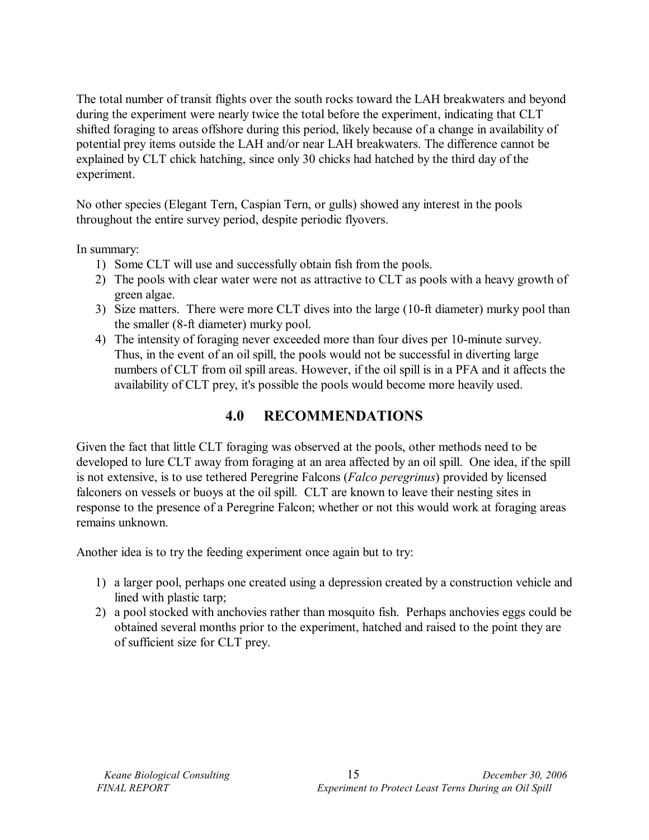The total number of transit flights over the south rocks toward the LAH breakwaters and beyond during the experiment were nearly twice the total before the experiment, indicating that CLT shifted foraging to areas offshore during this period, likely because of a change in availability of potential prey items outside the LAH and/or near LAH breakwaters. The difference cannot be explained by CLT chick hatching, since only 30 chicks had hatched by the third day of the experiment.

No other species (Elegant Tern, Caspian Tern, or gulls) showed any interest in the pools throughout the entire survey period, despite periodic flyovers.

In summary:

- 1) Some CLT will use and successfully obtain fish from the pools.
- 2) The pools with clear water were not as attractive to CLT as pools with a heavy growth of green algae.
- 3) Size matters. There were more CLT dives into the large (10-ft diameter) murky pool than the smaller (8-ft diameter) murky pool.
- 4) The intensity of foraging never exceeded more than four dives per 10-minute survey. Thus, in the event of an oil spill, the pools would not be successful in diverting large numbers of CLT from oil spill areas. However, if the oil spill is in a PFA and it affects the availability of CLT prey, it's possible the pools would become more heavily used.

# **4.0 RECOMMENDATIONS**

Given the fact that little CLT foraging was observed at the pools, other methods need to be developed to lure CLT away from foraging at an area affected by an oil spill. One idea, if the spill is not extensive, is to use tethered Peregrine Falcons (*Falco peregrinus*) provided by licensed falconers on vessels or buoys at the oil spill. CLT are known to leave their nesting sites in response to the presence of a Peregrine Falcon; whether or not this would work at foraging areas remains unknown.

Another idea is to try the feeding experiment once again but to try:

- 1) a larger pool, perhaps one created using a depression created by a construction vehicle and lined with plastic tarp;
- 2) a pool stocked with anchovies rather than mosquito fish. Perhaps anchovies eggs could be obtained several months prior to the experiment, hatched and raised to the point they are of sufficient size for CLT prey.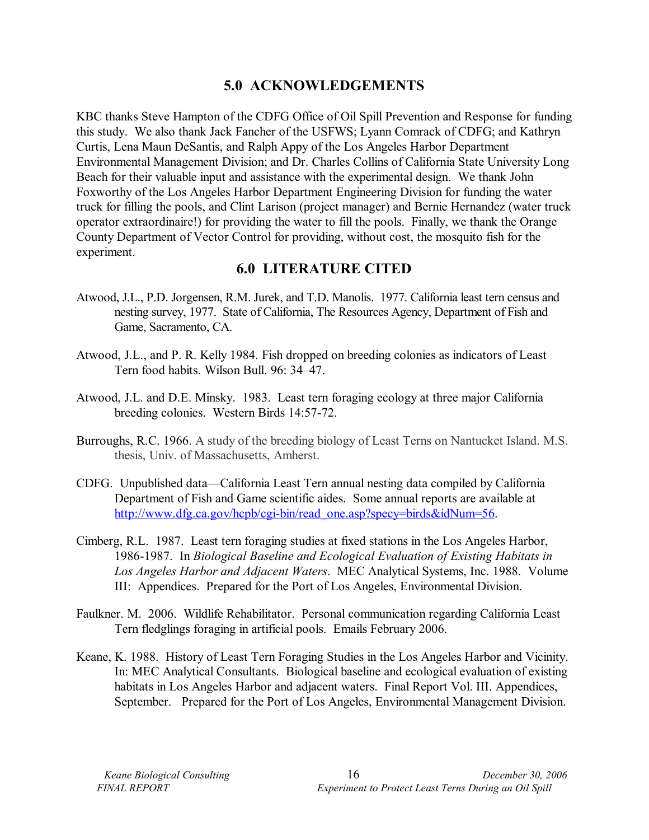## **5.0 ACKNOWLEDGEMENTS**

KBC thanks Steve Hampton of the CDFG Office of Oil Spill Prevention and Response for funding this study. We also thank Jack Fancher of the USFWS; Lyann Comrack of CDFG; and Kathryn Curtis, Lena Maun DeSantis, and Ralph Appy of the Los Angeles Harbor Department Environmental Management Division; and Dr. Charles Collins of California State University Long Beach for their valuable input and assistance with the experimental design. We thank John Foxworthy of the Los Angeles Harbor Department Engineering Division for funding the water truck for filling the pools, and Clint Larison (project manager) and Bernie Hernandez (water truck operator extraordinaire!) for providing the water to fill the pools. Finally, we thank the Orange County Department of Vector Control for providing, without cost, the mosquito fish for the experiment.

### **6.0 LITERATURE CITED**

- Atwood, J.L., P.D. Jorgensen, R.M. Jurek, and T.D. Manolis. 1977. California least tern census and nesting survey, 1977. State of California, The Resources Agency, Department of Fish and Game, Sacramento, CA.
- Atwood, J.L., and P. R. Kelly 1984. Fish dropped on breeding colonies as indicators of Least Tern food habits. Wilson Bull. 96: 34–47.
- Atwood, J.L. and D.E. Minsky. 1983. Least tern foraging ecology at three major California breeding colonies. Western Birds 14:57-72.
- Burroughs, R.C. 1966. A study of the breeding biology of Least Terns on Nantucket Island. M.S. thesis, Univ. of Massachusetts, Amherst.
- CDFG. Unpublished data—California Least Tern annual nesting data compiled by California Department of Fish and Game scientific aides. Some annual reports are available at http://www.dfg.ca.gov/hcpb/cgi-bin/read\_one.asp?specy=birds&idNum=56.
- Cimberg, R.L. 1987. Least tern foraging studies at fixed stations in the Los Angeles Harbor, 1986-1987. In *Biological Baseline and Ecological Evaluation of Existing Habitats in Los Angeles Harbor and Adjacent Waters*. MEC Analytical Systems, Inc. 1988. Volume III: Appendices. Prepared for the Port of Los Angeles, Environmental Division.
- Faulkner. M. 2006. Wildlife Rehabilitator. Personal communication regarding California Least Tern fledglings foraging in artificial pools. Emails February 2006.
- Keane, K. 1988. History of Least Tern Foraging Studies in the Los Angeles Harbor and Vicinity. In: MEC Analytical Consultants. Biological baseline and ecological evaluation of existing habitats in Los Angeles Harbor and adjacent waters. Final Report Vol. III. Appendices, September. Prepared for the Port of Los Angeles, Environmental Management Division.